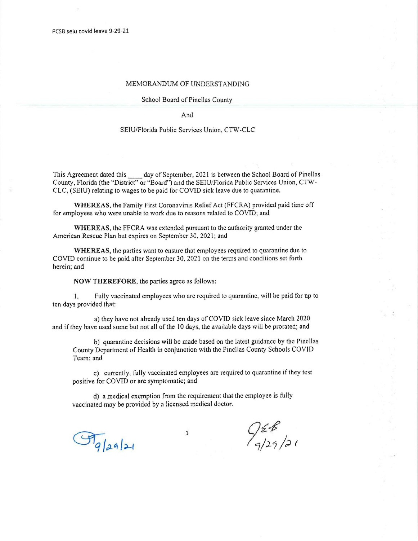## MEMORANDUM OF UNDERSTANDING

## School Board of Pinellas County

And

## SEIU/Florida Public Services Union, CTW-CLC

This Agreement dated this day of September, 2021 is between the School Board of Pinellas County, Florida (the "District" or "Board") and the SEIU/Florida Public Services Union, CTW-CLC, (SEIU) relating to wages to be paid for COVID sick leave due to quarantine.

WHEREAS, the Family First Coronavirus Relief Act (FFCRA) provided paid time off for employees who were unable to work due to reasons related to COVID; and

WHEREAS, the FFCRA was extended pursuant to the authority granted under the American Rescue Plan but expires on September 30, 2021; and

WHEREAS, the parties want to ensure that employees required to quarantine due to COVID continue to be paid after September 30, 2021 on the terms and conditions set forth herein; and

NOW THEREFORE, the parties agree as follows:

1. Fully vaccinated employees who are required to quarantine, will be paid for up to ten days provided that:

a) they have not already used ten days of COVID sick leave since March 2020 and if they have used some but not all of the 10 days, the available days will be prorated; and

b) quarantine decisions will be made based on the latest guidance by the Pinellas County Department of Health in conjunction with the Pinellas County Schools COVID Team; and

c) currently, fully vaccinated employees are required to quarantine if they test positive for COVID or are symptomatic; and

d) a medical exemption from the requirement that the employee is fully vaccinated may be provided by a licensed medical doctor.

1

 $\mathcal{F}_{q|z}$ a/21

 $Q_{\frac{2}{5}}^{\frac{2}{5}}$